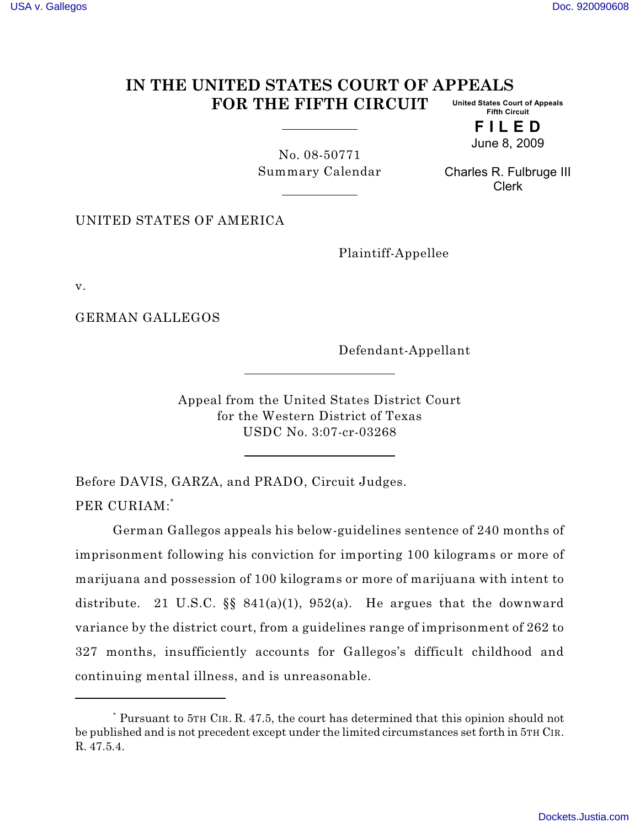## **IN THE UNITED STATES COURT OF APPEALS FOR THE FIFTH CIRCUIT United States Court of Appeals Fifth Circuit**

**F I L E D** June 8, 2009

No. 08-50771 Summary Calendar

Charles R. Fulbruge III Clerk

UNITED STATES OF AMERICA

Plaintiff-Appellee

v.

GERMAN GALLEGOS

Defendant-Appellant

Appeal from the United States District Court for the Western District of Texas USDC No. 3:07-cr-03268

Before DAVIS, GARZA, and PRADO, Circuit Judges. PER CURIAM:\*

German Gallegos appeals his below-guidelines sentence of 240 months of imprisonment following his conviction for importing 100 kilograms or more of marijuana and possession of 100 kilograms or more of marijuana with intent to distribute. 21 U.S.C.  $\S$  841(a)(1), 952(a). He argues that the downward variance by the district court, from a guidelines range of imprisonment of 262 to 327 months, insufficiently accounts for Gallegos's difficult childhood and continuing mental illness, and is unreasonable.

Pursuant to 5TH CIR. R. 47.5, the court has determined that this opinion should not \* be published and is not precedent except under the limited circumstances set forth in 5TH CIR. R. 47.5.4.